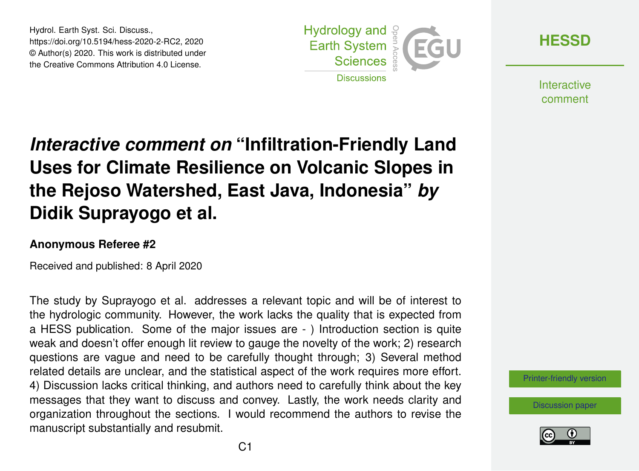Hydrol. Earth Syst. Sci. Discuss., https://doi.org/10.5194/hess-2020-2-RC2, 2020 © Author(s) 2020. This work is distributed under the Creative Commons Attribution 4.0 License.



**[HESSD](https://www.hydrol-earth-syst-sci-discuss.net/)**

**Interactive** comment

## *Interactive comment on* **"Infiltration-Friendly Land Uses for Climate Resilience on Volcanic Slopes in the Rejoso Watershed, East Java, Indonesia"** *by* **Didik Suprayogo et al.**

## **Anonymous Referee #2**

Received and published: 8 April 2020

The study by Suprayogo et al. addresses a relevant topic and will be of interest to the hydrologic community. However, the work lacks the quality that is expected from a HESS publication. Some of the major issues are - ) Introduction section is quite weak and doesn't offer enough lit review to gauge the novelty of the work; 2) research questions are vague and need to be carefully thought through; 3) Several method related details are unclear, and the statistical aspect of the work requires more effort. 4) Discussion lacks critical thinking, and authors need to carefully think about the key messages that they want to discuss and convey. Lastly, the work needs clarity and organization throughout the sections. I would recommend the authors to revise the manuscript substantially and resubmit.

[Printer-friendly version](https://www.hydrol-earth-syst-sci-discuss.net/hess-2020-2/hess-2020-2-RC2-print.pdf)

[Discussion paper](https://www.hydrol-earth-syst-sci-discuss.net/hess-2020-2)

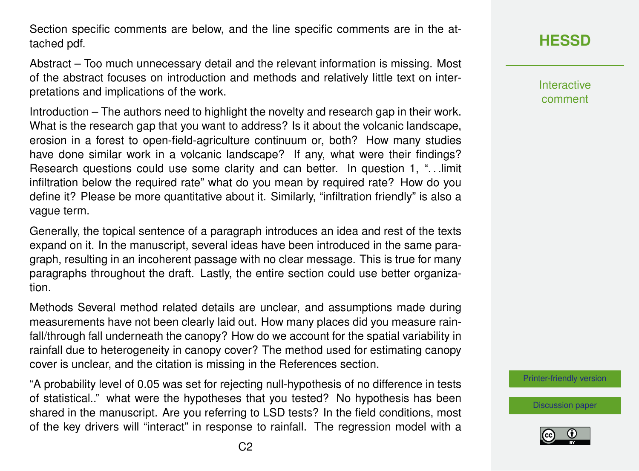Section specific comments are below, and the line specific comments are in the attached pdf.

Abstract – Too much unnecessary detail and the relevant information is missing. Most of the abstract focuses on introduction and methods and relatively little text on interpretations and implications of the work.

Introduction – The authors need to highlight the novelty and research gap in their work. What is the research gap that you want to address? Is it about the volcanic landscape, erosion in a forest to open-field-agriculture continuum or, both? How many studies have done similar work in a volcanic landscape? If any, what were their findings? Research questions could use some clarity and can better. In question 1, "... limit infiltration below the required rate" what do you mean by required rate? How do you define it? Please be more quantitative about it. Similarly, "infiltration friendly" is also a vague term.

Generally, the topical sentence of a paragraph introduces an idea and rest of the texts expand on it. In the manuscript, several ideas have been introduced in the same paragraph, resulting in an incoherent passage with no clear message. This is true for many paragraphs throughout the draft. Lastly, the entire section could use better organization.

Methods Several method related details are unclear, and assumptions made during measurements have not been clearly laid out. How many places did you measure rainfall/through fall underneath the canopy? How do we account for the spatial variability in rainfall due to heterogeneity in canopy cover? The method used for estimating canopy cover is unclear, and the citation is missing in the References section.

"A probability level of 0.05 was set for rejecting null-hypothesis of no difference in tests of statistical.." what were the hypotheses that you tested? No hypothesis has been shared in the manuscript. Are you referring to LSD tests? In the field conditions, most of the key drivers will "interact" in response to rainfall. The regression model with a

**[HESSD](https://www.hydrol-earth-syst-sci-discuss.net/)**

Interactive comment

[Printer-friendly version](https://www.hydrol-earth-syst-sci-discuss.net/hess-2020-2/hess-2020-2-RC2-print.pdf)

[Discussion paper](https://www.hydrol-earth-syst-sci-discuss.net/hess-2020-2)